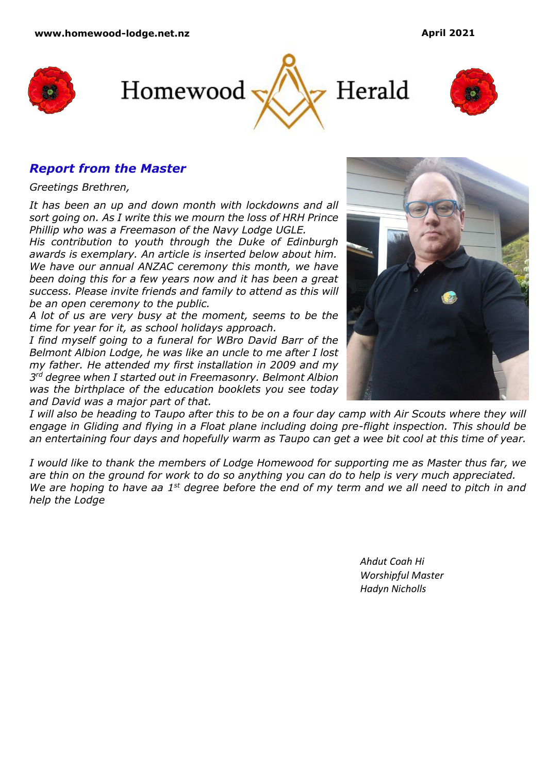





# *Report from the Master*

*Greetings Brethren,*

*It has been an up and down month with lockdowns and all sort going on. As I write this we mourn the loss of HRH Prince Phillip who was a Freemason of the Navy Lodge UGLE.*

*His contribution to youth through the Duke of Edinburgh awards is exemplary. An article is inserted below about him. We have our annual ANZAC ceremony this month, we have been doing this for a few years now and it has been a great success. Please invite friends and family to attend as this will be an open ceremony to the public.*

*A lot of us are very busy at the moment, seems to be the time for year for it, as school holidays approach.* 

*I find myself going to a funeral for WBro David Barr of the Belmont Albion Lodge, he was like an uncle to me after I lost my father. He attended my first installation in 2009 and my 3 rd degree when I started out in Freemasonry. Belmont Albion was the birthplace of the education booklets you see today and David was a major part of that.*



*I will also be heading to Taupo after this to be on a four day camp with Air Scouts where they will engage in Gliding and flying in a Float plane including doing pre-flight inspection. This should be an entertaining four days and hopefully warm as Taupo can get a wee bit cool at this time of year.*

*I would like to thank the members of Lodge Homewood for supporting me as Master thus far, we are thin on the ground for work to do so anything you can do to help is very much appreciated. We are hoping to have aa 1st degree before the end of my term and we all need to pitch in and help the Lodge* 

> *Ahdut Coah Hi Worshipful Master Hadyn Nicholls*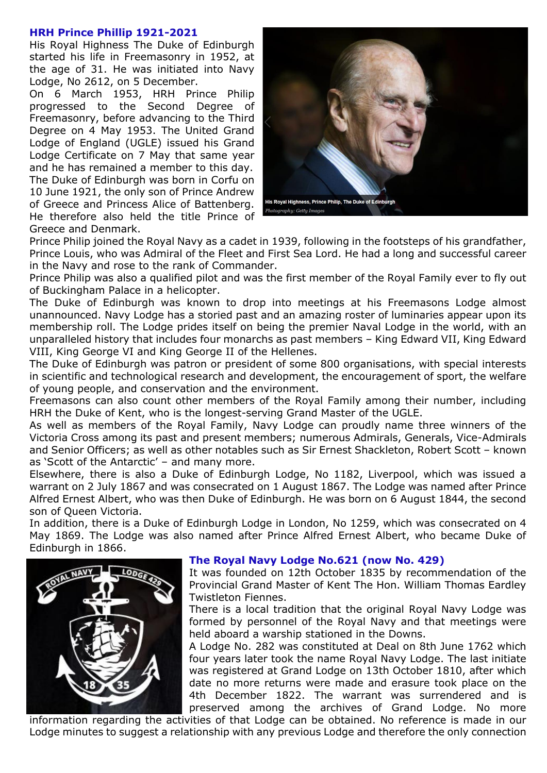#### **HRH Prince Phillip 1921-2021**

His Royal Highness The Duke of Edinburgh started his life in Freemasonry in 1952, at the age of 31. He was initiated into Navy Lodge, No 2612, on 5 December.

On 6 March 1953, HRH Prince Philip progressed to the Second Degree of Freemasonry, before advancing to the Third Degree on 4 May 1953. The United Grand Lodge of England (UGLE) issued his Grand Lodge Certificate on 7 May that same year and he has remained a member to this day. The Duke of Edinburgh was born in Corfu on 10 June 1921, the only son of Prince Andrew of Greece and Princess Alice of Battenberg. He therefore also held the title Prince of Greece and Denmark.



Prince Philip joined the Royal Navy as a cadet in 1939, following in the footsteps of his grandfather, Prince Louis, who was Admiral of the Fleet and First Sea Lord. He had a long and successful career in the Navy and rose to the rank of Commander.

Prince Philip was also a qualified pilot and was the first member of the Royal Family ever to fly out of Buckingham Palace in a helicopter.

The Duke of Edinburgh was known to drop into meetings at his Freemasons Lodge almost unannounced. Navy Lodge has a storied past and an amazing roster of luminaries appear upon its membership roll. The Lodge prides itself on being the premier Naval Lodge in the world, with an unparalleled history that includes four monarchs as past members – King Edward VII, King Edward VIII, King George VI and King George II of the Hellenes.

The Duke of Edinburgh was patron or president of some 800 organisations, with special interests in scientific and technological research and development, the encouragement of sport, the welfare of young people, and conservation and the environment.

Freemasons can also count other members of the Royal Family among their number, including HRH the Duke of Kent, who is the longest-serving Grand Master of the UGLE.

As well as members of the Royal Family, Navy Lodge can proudly name three winners of the Victoria Cross among its past and present members; numerous Admirals, Generals, Vice-Admirals and Senior Officers; as well as other notables such as Sir Ernest Shackleton, Robert Scott – known as 'Scott of the Antarctic' – and many more.

Elsewhere, there is also a Duke of Edinburgh Lodge, No 1182, Liverpool, which was issued a warrant on 2 July 1867 and was consecrated on 1 August 1867. The Lodge was named after Prince Alfred Ernest Albert, who was then Duke of Edinburgh. He was born on 6 August 1844, the second son of Queen Victoria.

In addition, there is a Duke of Edinburgh Lodge in London, No 1259, which was consecrated on 4 May 1869. The Lodge was also named after Prince Alfred Ernest Albert, who became Duke of Edinburgh in 1866.



#### **The Royal Navy Lodge No.621 (now No. 429)**

It was founded on 12th October 1835 by recommendation of the Provincial Grand Master of Kent The Hon. William Thomas Eardley Twistleton Fiennes.

There is a local tradition that the original Royal Navy Lodge was formed by personnel of the Royal Navy and that meetings were held aboard a warship stationed in the Downs.

A Lodge No. 282 was constituted at Deal on 8th June 1762 which four years later took the name Royal Navy Lodge. The last initiate was registered at Grand Lodge on 13th October 1810, after which date no more returns were made and erasure took place on the 4th December 1822. The warrant was surrendered and is preserved among the archives of Grand Lodge. No more

information regarding the activities of that Lodge can be obtained. No reference is made in our Lodge minutes to suggest a relationship with any previous Lodge and therefore the only connection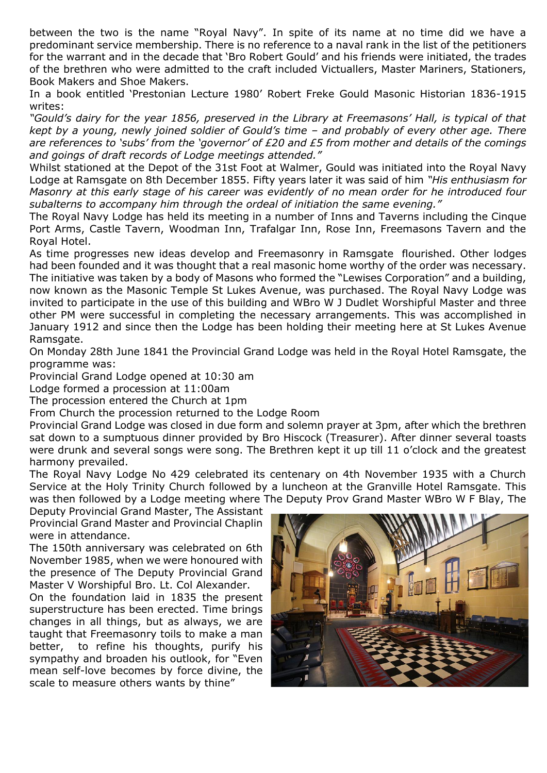between the two is the name "Royal Navy". In spite of its name at no time did we have a predominant service membership. There is no reference to a naval rank in the list of the petitioners for the warrant and in the decade that 'Bro Robert Gould' and his friends were initiated, the trades of the brethren who were admitted to the craft included Victuallers, Master Mariners, Stationers, Book Makers and Shoe Makers.

In a book entitled 'Prestonian Lecture 1980' Robert Freke Gould Masonic Historian 1836-1915 writes:

*"Gould's dairy for the year 1856, preserved in the Library at Freemasons' Hall, is typical of that kept by a young, newly joined soldier of Gould's time – and probably of every other age. There are references to 'subs' from the 'governor' of £20 and £5 from mother and details of the comings and goings of draft records of Lodge meetings attended."*

Whilst stationed at the Depot of the 31st Foot at Walmer, Gould was initiated into the Royal Navy Lodge at Ramsgate on 8th December 1855. Fifty years later it was said of him *"His enthusiasm for Masonry at this early stage of his career was evidently of no mean order for he introduced four subalterns to accompany him through the ordeal of initiation the same evening."*

The Royal Navy Lodge has held its meeting in a number of Inns and Taverns including the Cinque Port Arms, Castle Tavern, Woodman Inn, Trafalgar Inn, Rose Inn, Freemasons Tavern and the Royal Hotel.

As time progresses new ideas develop and Freemasonry in Ramsgate flourished. Other lodges had been founded and it was thought that a real masonic home worthy of the order was necessary. The initiative was taken by a body of Masons who formed the "Lewises Corporation" and a building, now known as the Masonic Temple St Lukes Avenue, was purchased. The Royal Navy Lodge was invited to participate in the use of this building and WBro W J Dudlet Worshipful Master and three other PM were successful in completing the necessary arrangements. This was accomplished in January 1912 and since then the Lodge has been holding their meeting here at St Lukes Avenue Ramsgate.

On Monday 28th June 1841 the Provincial Grand Lodge was held in the Royal Hotel Ramsgate, the programme was:

Provincial Grand Lodge opened at 10:30 am

Lodge formed a procession at 11:00am

The procession entered the Church at 1pm

From Church the procession returned to the Lodge Room

Provincial Grand Lodge was closed in due form and solemn prayer at 3pm, after which the brethren sat down to a sumptuous dinner provided by Bro Hiscock (Treasurer). After dinner several toasts were drunk and several songs were song. The Brethren kept it up till 11 o'clock and the greatest harmony prevailed.

The Royal Navy Lodge No 429 celebrated its centenary on 4th November 1935 with a Church Service at the Holy Trinity Church followed by a luncheon at the Granville Hotel Ramsgate. This was then followed by a Lodge meeting where The Deputy Prov Grand Master WBro W F Blay, The

Deputy Provincial Grand Master, The Assistant Provincial Grand Master and Provincial Chaplin were in attendance.

The 150th anniversary was celebrated on 6th November 1985, when we were honoured with the presence of The Deputy Provincial Grand Master V Worshipful Bro. Lt. Col Alexander.

On the foundation laid in 1835 the present superstructure has been erected. Time brings changes in all things, but as always, we are taught that Freemasonry toils to make a man better, to refine his thoughts, purify his sympathy and broaden his outlook, for "Even mean self-love becomes by force divine, the scale to measure others wants by thine"